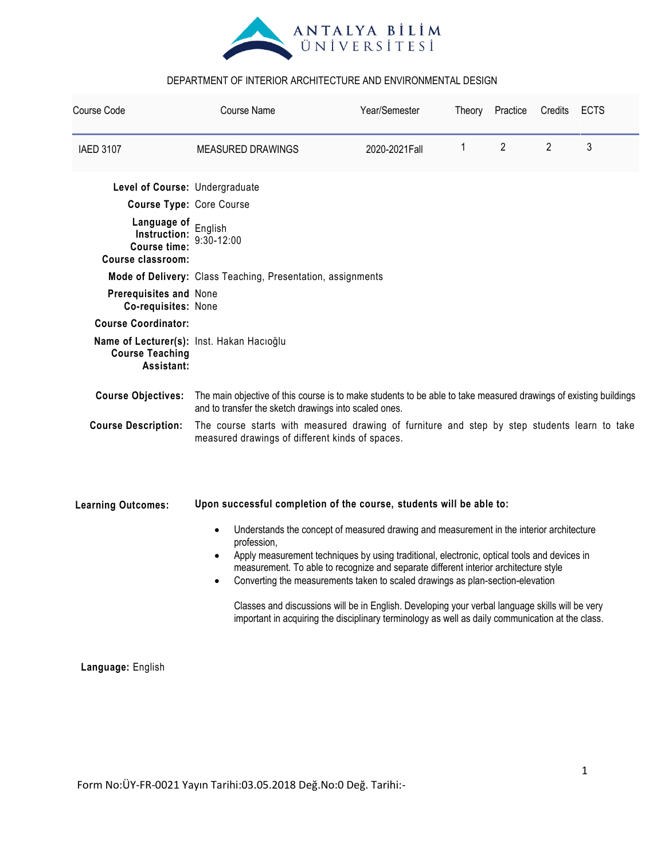

| Course Code                                                                       | <b>Course Name</b>                                                                                                                                                                                                                                                                                                                                                                                                                                                                                                                                                                                                                                                                                    | Year/Semester  | Theory       | Practice       | Credits        | <b>ECTS</b> |  |  |
|-----------------------------------------------------------------------------------|-------------------------------------------------------------------------------------------------------------------------------------------------------------------------------------------------------------------------------------------------------------------------------------------------------------------------------------------------------------------------------------------------------------------------------------------------------------------------------------------------------------------------------------------------------------------------------------------------------------------------------------------------------------------------------------------------------|----------------|--------------|----------------|----------------|-------------|--|--|
| <b>IAED 3107</b>                                                                  | <b>MEASURED DRAWINGS</b>                                                                                                                                                                                                                                                                                                                                                                                                                                                                                                                                                                                                                                                                              | 2020-2021 Fall | $\mathbf{1}$ | $\overline{2}$ | $\overline{2}$ | 3           |  |  |
| Level of Course: Undergraduate                                                    |                                                                                                                                                                                                                                                                                                                                                                                                                                                                                                                                                                                                                                                                                                       |                |              |                |                |             |  |  |
| <b>Course Type: Core Course</b>                                                   |                                                                                                                                                                                                                                                                                                                                                                                                                                                                                                                                                                                                                                                                                                       |                |              |                |                |             |  |  |
| Language of English<br>Instruction:<br><b>Course time:</b><br>Course classroom:   | $9:30 - 12:00$                                                                                                                                                                                                                                                                                                                                                                                                                                                                                                                                                                                                                                                                                        |                |              |                |                |             |  |  |
|                                                                                   | Mode of Delivery: Class Teaching, Presentation, assignments                                                                                                                                                                                                                                                                                                                                                                                                                                                                                                                                                                                                                                           |                |              |                |                |             |  |  |
| Prerequisites and None<br>Co-requisites: None                                     |                                                                                                                                                                                                                                                                                                                                                                                                                                                                                                                                                                                                                                                                                                       |                |              |                |                |             |  |  |
| <b>Course Coordinator:</b>                                                        |                                                                                                                                                                                                                                                                                                                                                                                                                                                                                                                                                                                                                                                                                                       |                |              |                |                |             |  |  |
| Name of Lecturer(s): Inst. Hakan Hacioğlu<br><b>Course Teaching</b><br>Assistant: |                                                                                                                                                                                                                                                                                                                                                                                                                                                                                                                                                                                                                                                                                                       |                |              |                |                |             |  |  |
| <b>Course Objectives:</b>                                                         | The main objective of this course is to make students to be able to take measured drawings of existing buildings<br>and to transfer the sketch drawings into scaled ones.                                                                                                                                                                                                                                                                                                                                                                                                                                                                                                                             |                |              |                |                |             |  |  |
| <b>Course Description:</b>                                                        | The course starts with measured drawing of furniture and step by step students learn to take<br>measured drawings of different kinds of spaces.                                                                                                                                                                                                                                                                                                                                                                                                                                                                                                                                                       |                |              |                |                |             |  |  |
| <b>Learning Outcomes:</b>                                                         | Upon successful completion of the course, students will be able to:<br>Understands the concept of measured drawing and measurement in the interior architecture<br>$\bullet$<br>profession,<br>Apply measurement techniques by using traditional, electronic, optical tools and devices in<br>$\bullet$<br>measurement. To able to recognize and separate different interior architecture style<br>Converting the measurements taken to scaled drawings as plan-section-elevation<br>$\bullet$<br>Classes and discussions will be in English. Developing your verbal language skills will be very<br>important in acquiring the disciplinary terminology as well as daily communication at the class. |                |              |                |                |             |  |  |

 **Language:** English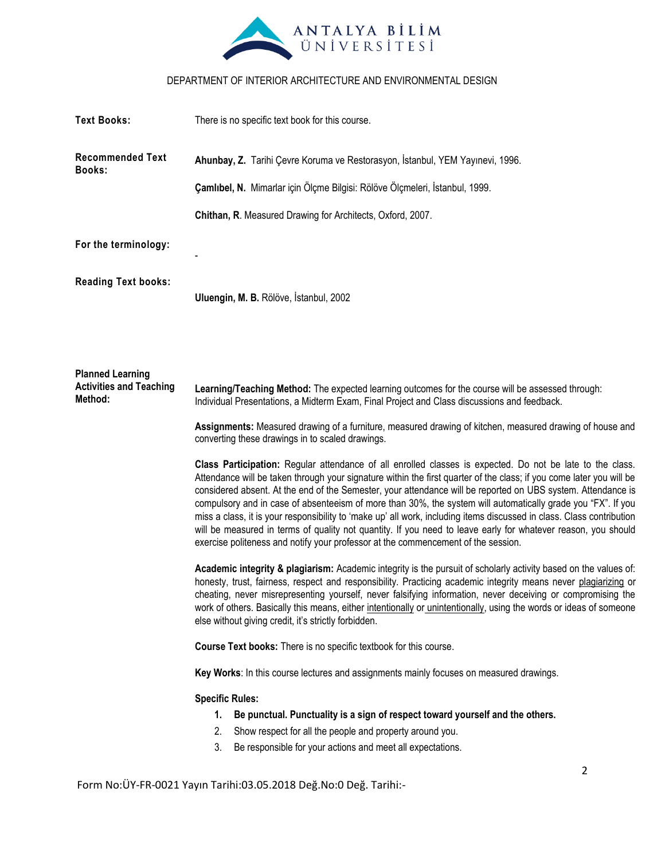

| <b>Text Books:</b>                                                   | There is no specific text book for this course.                                                                                                                                                                                                                                                                                                                                                                                                                                                                                                                                                                                                                                                                                                                                                  |  |  |  |
|----------------------------------------------------------------------|--------------------------------------------------------------------------------------------------------------------------------------------------------------------------------------------------------------------------------------------------------------------------------------------------------------------------------------------------------------------------------------------------------------------------------------------------------------------------------------------------------------------------------------------------------------------------------------------------------------------------------------------------------------------------------------------------------------------------------------------------------------------------------------------------|--|--|--|
| <b>Recommended Text</b><br><b>Books:</b>                             | Ahunbay, Z. Tarihi Çevre Koruma ve Restorasyon, İstanbul, YEM Yayınevi, 1996.                                                                                                                                                                                                                                                                                                                                                                                                                                                                                                                                                                                                                                                                                                                    |  |  |  |
|                                                                      | Çamlıbel, N. Mimarlar için Ölçme Bilgisi: Rölöve Ölçmeleri, İstanbul, 1999.                                                                                                                                                                                                                                                                                                                                                                                                                                                                                                                                                                                                                                                                                                                      |  |  |  |
|                                                                      | Chithan, R. Measured Drawing for Architects, Oxford, 2007.                                                                                                                                                                                                                                                                                                                                                                                                                                                                                                                                                                                                                                                                                                                                       |  |  |  |
| For the terminology:                                                 |                                                                                                                                                                                                                                                                                                                                                                                                                                                                                                                                                                                                                                                                                                                                                                                                  |  |  |  |
| <b>Reading Text books:</b>                                           | Uluengin, M. B. Rölöve, İstanbul, 2002                                                                                                                                                                                                                                                                                                                                                                                                                                                                                                                                                                                                                                                                                                                                                           |  |  |  |
| <b>Planned Learning</b><br><b>Activities and Teaching</b><br>Method: | Learning/Teaching Method: The expected learning outcomes for the course will be assessed through:<br>Individual Presentations, a Midterm Exam, Final Project and Class discussions and feedback.                                                                                                                                                                                                                                                                                                                                                                                                                                                                                                                                                                                                 |  |  |  |
|                                                                      | Assignments: Measured drawing of a furniture, measured drawing of kitchen, measured drawing of house and<br>converting these drawings in to scaled drawings.                                                                                                                                                                                                                                                                                                                                                                                                                                                                                                                                                                                                                                     |  |  |  |
|                                                                      | Class Participation: Regular attendance of all enrolled classes is expected. Do not be late to the class.<br>Attendance will be taken through your signature within the first quarter of the class; if you come later you will be<br>considered absent. At the end of the Semester, your attendance will be reported on UBS system. Attendance is<br>compulsory and in case of absenteeism of more than 30%, the system will automatically grade you "FX". If you<br>miss a class, it is your responsibility to 'make up' all work, including items discussed in class. Class contribution<br>will be measured in terms of quality not quantity. If you need to leave early for whatever reason, you should<br>exercise politeness and notify your professor at the commencement of the session. |  |  |  |
|                                                                      | Academic integrity & plagiarism: Academic integrity is the pursuit of scholarly activity based on the values of:<br>honesty, trust, fairness, respect and responsibility. Practicing academic integrity means never plagiarizing or<br>cheating, never misrepresenting yourself, never falsifying information, never deceiving or compromising the<br>work of others. Basically this means, either intentionally or unintentionally, using the words or ideas of someone<br>else without giving credit, it's strictly forbidden.                                                                                                                                                                                                                                                                 |  |  |  |
|                                                                      | Course Text books: There is no specific textbook for this course.                                                                                                                                                                                                                                                                                                                                                                                                                                                                                                                                                                                                                                                                                                                                |  |  |  |
|                                                                      | Key Works: In this course lectures and assignments mainly focuses on measured drawings.                                                                                                                                                                                                                                                                                                                                                                                                                                                                                                                                                                                                                                                                                                          |  |  |  |
|                                                                      | <b>Specific Rules:</b>                                                                                                                                                                                                                                                                                                                                                                                                                                                                                                                                                                                                                                                                                                                                                                           |  |  |  |
|                                                                      | Be punctual. Punctuality is a sign of respect toward yourself and the others.<br>1.                                                                                                                                                                                                                                                                                                                                                                                                                                                                                                                                                                                                                                                                                                              |  |  |  |
|                                                                      | Show respect for all the people and property around you.<br>2.                                                                                                                                                                                                                                                                                                                                                                                                                                                                                                                                                                                                                                                                                                                                   |  |  |  |
|                                                                      | 3.<br>Be responsible for your actions and meet all expectations.                                                                                                                                                                                                                                                                                                                                                                                                                                                                                                                                                                                                                                                                                                                                 |  |  |  |
|                                                                      | 2                                                                                                                                                                                                                                                                                                                                                                                                                                                                                                                                                                                                                                                                                                                                                                                                |  |  |  |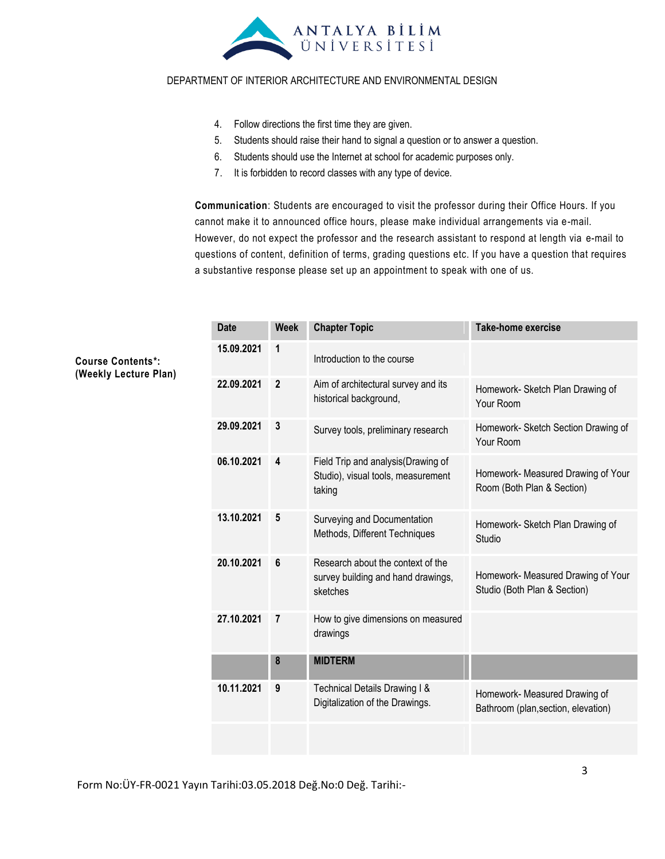

- 4. Follow directions the first time they are given.
- 5. Students should raise their hand to signal a question or to answer a question.
- 6. Students should use the Internet at school for academic purposes only.
- 7. It is forbidden to record classes with any type of device.

**Communication**: Students are encouraged to visit the professor during their Office Hours. If you cannot make it to announced office hours, please make individual arrangements via e-mail. However, do not expect the professor and the research assistant to respond at length via e-mail to questions of content, definition of terms, grading questions etc. If you have a question that requires a substantive response please set up an appointment to speak with one of us.

| <b>Date</b> | <b>Week</b>    | <b>Chapter Topic</b>                                                                | <b>Take-home exercise</b>                                            |
|-------------|----------------|-------------------------------------------------------------------------------------|----------------------------------------------------------------------|
| 15.09.2021  | 1              | Introduction to the course                                                          |                                                                      |
| 22.09.2021  | $\overline{2}$ | Aim of architectural survey and its<br>historical background,                       | Homework- Sketch Plan Drawing of<br>Your Room                        |
| 29.09.2021  | 3              | Survey tools, preliminary research                                                  | Homework- Sketch Section Drawing of<br>Your Room                     |
| 06.10.2021  | 4              | Field Trip and analysis (Drawing of<br>Studio), visual tools, measurement<br>taking | Homework- Measured Drawing of Your<br>Room (Both Plan & Section)     |
| 13.10.2021  | 5              | Surveying and Documentation<br>Methods, Different Techniques                        | Homework- Sketch Plan Drawing of<br>Studio                           |
| 20.10.2021  | 6              | Research about the context of the<br>survey building and hand drawings,<br>sketches | Homework- Measured Drawing of Your<br>Studio (Both Plan & Section)   |
| 27.10.2021  | 7              | How to give dimensions on measured<br>drawings                                      |                                                                      |
|             | 8              | <b>MIDTERM</b>                                                                      |                                                                      |
| 10.11.2021  | 9              | Technical Details Drawing I &<br>Digitalization of the Drawings.                    | Homework- Measured Drawing of<br>Bathroom (plan, section, elevation) |
|             |                |                                                                                     |                                                                      |

**Course Contents\*: (Weekly Lecture Plan)**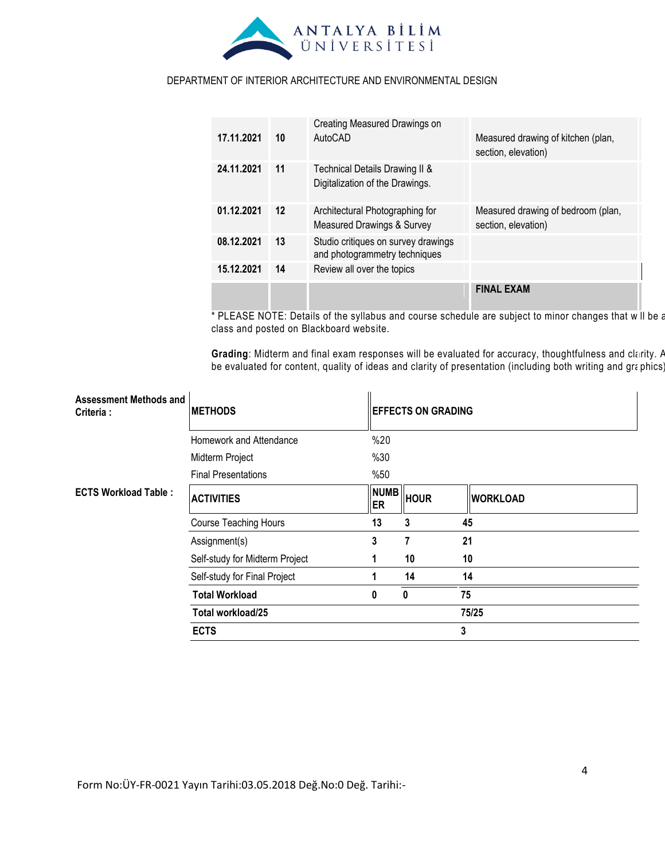

| 17.11.2021 | 10      | Creating Measured Drawings on<br>AutoCAD                             | Measured drawing of kitchen (plan,<br>section, elevation) |
|------------|---------|----------------------------------------------------------------------|-----------------------------------------------------------|
| 24.11.2021 | 11      | Technical Details Drawing II &<br>Digitalization of the Drawings.    |                                                           |
| 01.12.2021 | $12 \,$ | Architectural Photographing for<br>Measured Drawings & Survey        | Measured drawing of bedroom (plan,<br>section, elevation) |
| 08.12.2021 | 13      | Studio critiques on survey drawings<br>and photogrammetry techniques |                                                           |
| 15.12.2021 | 14      | Review all over the topics                                           |                                                           |
|            |         |                                                                      | <b>FINAL EXAM</b>                                         |

\* PLEASE NOTE: Details of the syllabus and course schedule are subject to minor changes that will be announced in class and posted on Blackboard website.

Grading: Midterm and final exam responses will be evaluated for accuracy, thoughtfulness and clarity. A be evaluated for content, quality of ideas and clarity of presentation (including both writing and graphics).

| Assessment Methods and<br>Criteria : | <b>METHODS</b>                 |                   | <b>EFFECTS ON GRADING</b> |                 |  |
|--------------------------------------|--------------------------------|-------------------|---------------------------|-----------------|--|
|                                      | Homework and Attendance        | %20               |                           |                 |  |
|                                      | Midterm Project                | %30               |                           |                 |  |
|                                      | <b>Final Presentations</b>     | %50               |                           |                 |  |
| <b>ECTS Workload Table:</b>          | <b>ACTIVITIES</b>              | <b>NUMB</b><br>ER | <b>HOUR</b>               | <b>WORKLOAD</b> |  |
|                                      | <b>Course Teaching Hours</b>   | 13                | 3                         | 45              |  |
|                                      | Assignment(s)                  | 3                 | 7                         | 21              |  |
|                                      | Self-study for Midterm Project |                   | 10                        | 10              |  |
|                                      | Self-study for Final Project   |                   | 14                        | 14              |  |
|                                      | <b>Total Workload</b>          | 0                 | $\bf{0}$                  | 75              |  |
|                                      | Total workload/25              |                   |                           | 75/25           |  |
|                                      | <b>ECTS</b>                    |                   |                           | 3               |  |